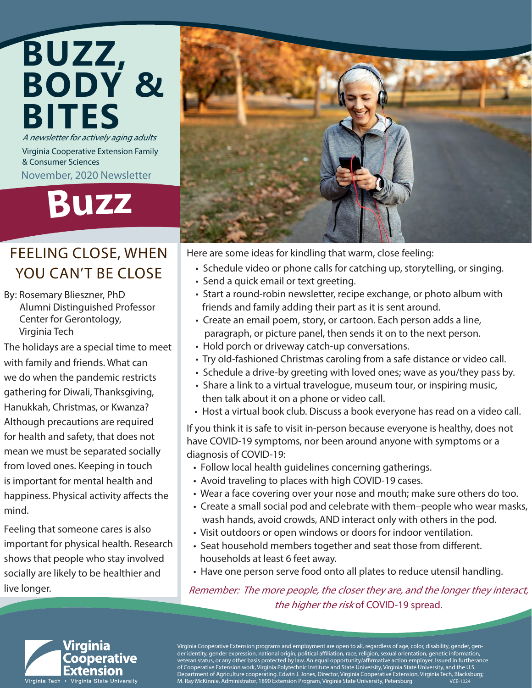### A newsletter for actively aging adults Virginia Cooperative Extension Family & Consumer Sciences **BUZZ, BODY & BITES**

November, 2020 Newsletter

## **Buz<sup>z</sup>**

### FEELING CLOSE, WHEN YOU CAN'T BE CLOSE

By: Rosemary Blieszner, PhD Alumni Distinguished Professor Center for Gerontology, Virginia Tech

The holidays are a special time to meet with family and friends. What can we do when the pandemic restricts gathering for Diwali, Thanksgiving, Hanukkah, Christmas, or Kwanza? Although precautions are required for health and safety, that does not mean we must be separated socially from loved ones. Keeping in touch is important for mental health and happiness. Physical activity affects the mind.

Feeling that someone cares is also important for physical health. Research shows that people who stay involved socially are likely to be healthier and live longer.



Here are some ideas for kindling that warm, close feeling:

- Schedule video or phone calls for catching up, storytelling, or singing.
- Send a quick email or text greeting.
- Start a round-robin newsletter, recipe exchange, or photo album with friends and family adding their part as it is sent around.
- Create an email poem, story, or cartoon. Each person adds a line, paragraph, or picture panel, then sends it on to the next person.
- Hold porch or driveway catch-up conversations.
- Try old-fashioned Christmas caroling from a safe distance or video call.
- Schedule a drive-by greeting with loved ones; wave as you/they pass by.
- Share a link to a virtual travelogue, museum tour, or inspiring music, then talk about it on a phone or video call.
- Host a virtual book club. Discuss a book everyone has read on a video call.

If you think it is safe to visit in-person because everyone is healthy, does not have COVID-19 symptoms, nor been around anyone with symptoms or a diagnosis of COVID-19:

- Follow local health guidelines concerning gatherings.
- Avoid traveling to places with high COVID-19 cases.
- Wear a face covering over your nose and mouth; make sure others do too.
- Create a small social pod and celebrate with them–people who wear masks, wash hands, avoid crowds, AND interact only with others in the pod.
- Visit outdoors or open windows or doors for indoor ventilation.
- Seat household members together and seat those from different. households at least 6 feet away.
- Have one person serve food onto all plates to reduce utensil handling.

Remember: The more people, the closer they are, and the longer they interact, the higher the risk of COVID-19 spread.



Virginia Cooperative Extension programs and employment are open to all, regardless of age, color, disability, gender, gender identity, gender expression, national origin, political affiliation, race, religion, sexual orientation, genetic information, veteran status, or any other basis protected by law. An equal opportunity/affirmative action employer. Issued in furtherance of Cooperative Extension work, Virginia Polytechnic Institute and State University, Virginia State University, and the U.S. Department of Agriculture cooperating. Edwin J. Jones, Director, Virginia Cooperative Extension, Virginia Tech, Blacksburg; M. Ray McKinnie, Administrator, 1890 Extension Program, Virginia State University, Petersburg VCE-1024